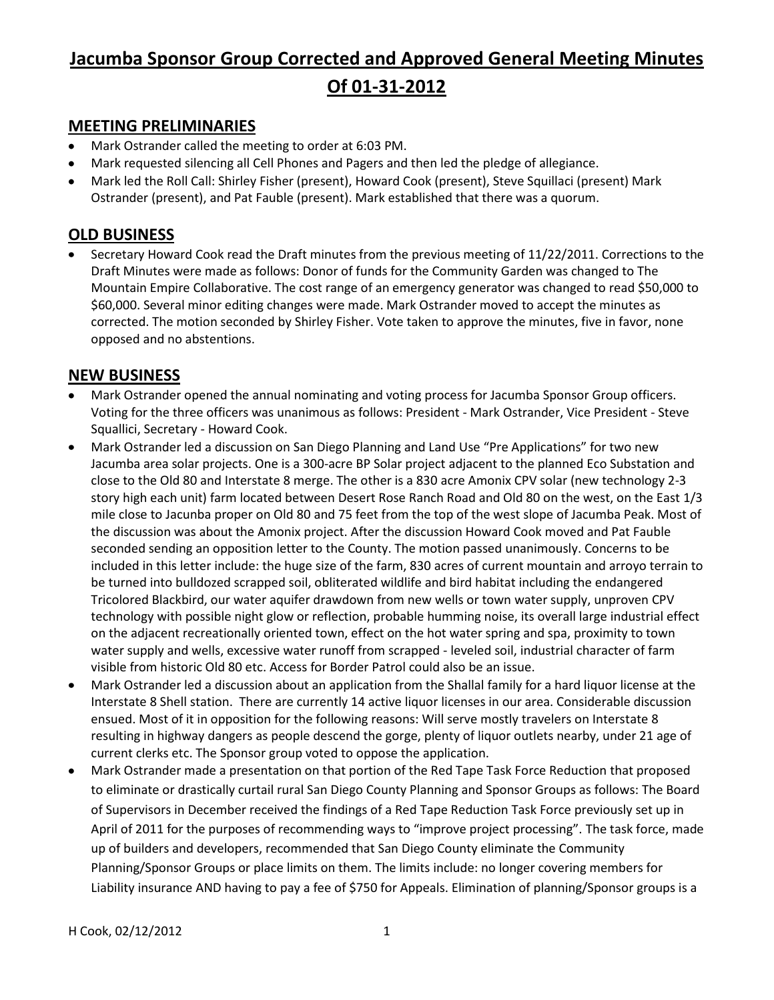# **Jacumba Sponsor Group Corrected and Approved General Meeting Minutes Of 01-31-2012**

### **MEETING PRELIMINARIES**

- Mark Ostrander called the meeting to order at 6:03 PM.
- Mark requested silencing all Cell Phones and Pagers and then led the pledge of allegiance.
- Mark led the Roll Call: Shirley Fisher (present), Howard Cook (present), Steve Squillaci (present) Mark  $\bullet$ Ostrander (present), and Pat Fauble (present). Mark established that there was a quorum.

### **OLD BUSINESS**

Secretary Howard Cook read the Draft minutes from the previous meeting of 11/22/2011. Corrections to the Draft Minutes were made as follows: Donor of funds for the Community Garden was changed to The Mountain Empire Collaborative. The cost range of an emergency generator was changed to read \$50,000 to \$60,000. Several minor editing changes were made. Mark Ostrander moved to accept the minutes as corrected. The motion seconded by Shirley Fisher. Vote taken to approve the minutes, five in favor, none opposed and no abstentions.

### **NEW BUSINESS**

- Mark Ostrander opened the annual nominating and voting process for Jacumba Sponsor Group officers. Voting for the three officers was unanimous as follows: President - Mark Ostrander, Vice President - Steve Squallici, Secretary - Howard Cook.
- Mark Ostrander led a discussion on San Diego Planning and Land Use "Pre Applications" for two new  $\bullet$ Jacumba area solar projects. One is a 300-acre BP Solar project adjacent to the planned Eco Substation and close to the Old 80 and Interstate 8 merge. The other is a 830 acre Amonix CPV solar (new technology 2-3 story high each unit) farm located between Desert Rose Ranch Road and Old 80 on the west, on the East 1/3 mile close to Jacunba proper on Old 80 and 75 feet from the top of the west slope of Jacumba Peak. Most of the discussion was about the Amonix project. After the discussion Howard Cook moved and Pat Fauble seconded sending an opposition letter to the County. The motion passed unanimously. Concerns to be included in this letter include: the huge size of the farm, 830 acres of current mountain and arroyo terrain to be turned into bulldozed scrapped soil, obliterated wildlife and bird habitat including the endangered Tricolored Blackbird, our water aquifer drawdown from new wells or town water supply, unproven CPV technology with possible night glow or reflection, probable humming noise, its overall large industrial effect on the adjacent recreationally oriented town, effect on the hot water spring and spa, proximity to town water supply and wells, excessive water runoff from scrapped - leveled soil, industrial character of farm visible from historic Old 80 etc. Access for Border Patrol could also be an issue.
- Mark Ostrander led a discussion about an application from the Shallal family for a hard liquor license at the  $\bullet$ Interstate 8 Shell station. There are currently 14 active liquor licenses in our area. Considerable discussion ensued. Most of it in opposition for the following reasons: Will serve mostly travelers on Interstate 8 resulting in highway dangers as people descend the gorge, plenty of liquor outlets nearby, under 21 age of current clerks etc. The Sponsor group voted to oppose the application.
- Mark Ostrander made a presentation on that portion of the Red Tape Task Force Reduction that proposed  $\bullet$ to eliminate or drastically curtail rural San Diego County Planning and Sponsor Groups as follows: The Board of Supervisors in December received the findings of a Red Tape Reduction Task Force previously set up in April of 2011 for the purposes of recommending ways to "improve project processing". The task force, made up of builders and developers, recommended that San Diego County eliminate the Community Planning/Sponsor Groups or place limits on them. The limits include: no longer covering members for Liability insurance AND having to pay a fee of \$750 for Appeals. Elimination of planning/Sponsor groups is a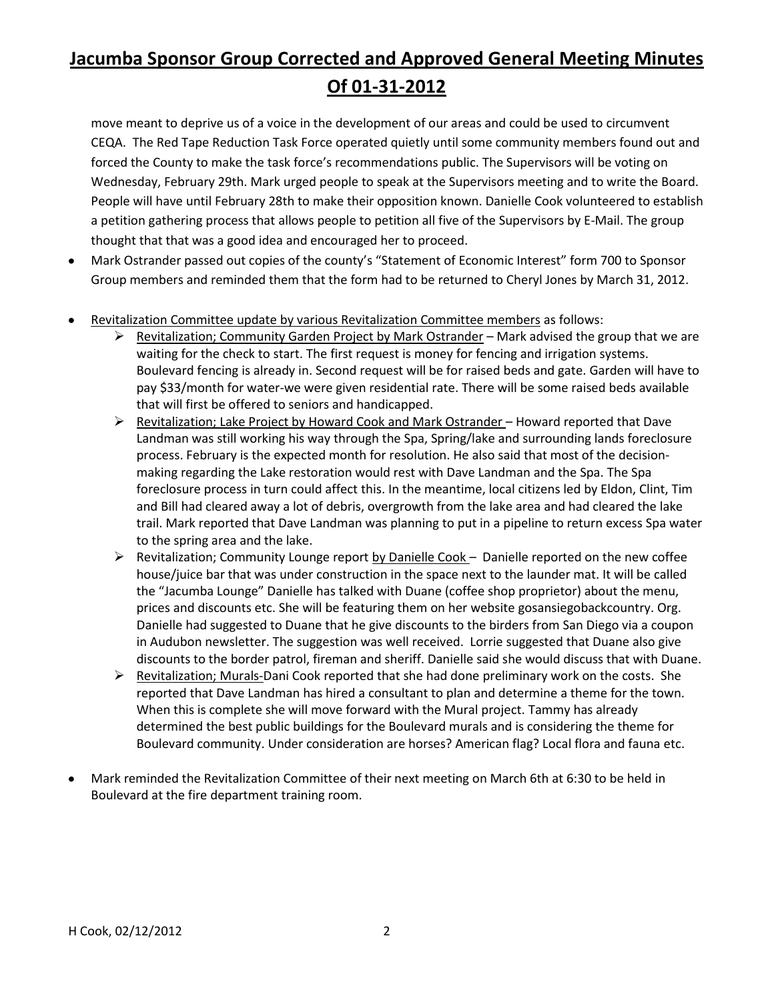# **Jacumba Sponsor Group Corrected and Approved General Meeting Minutes Of 01-31-2012**

move meant to deprive us of a voice in the development of our areas and could be used to circumvent CEQA. The Red Tape Reduction Task Force operated quietly until some community members found out and forced the County to make the task force's recommendations public. The Supervisors will be voting on Wednesday, February 29th. Mark urged people to speak at the Supervisors meeting and to write the Board. People will have until February 28th to make their opposition known. Danielle Cook volunteered to establish a petition gathering process that allows people to petition all five of the Supervisors by E-Mail. The group thought that that was a good idea and encouraged her to proceed.

- Mark Ostrander passed out copies of the county's "Statement of Economic Interest" form 700 to Sponsor  $\bullet$ Group members and reminded them that the form had to be returned to Cheryl Jones by March 31, 2012.
- Revitalization Committee update by various Revitalization Committee members as follows:
	- $\triangleright$  Revitalization; Community Garden Project by Mark Ostrander Mark advised the group that we are waiting for the check to start. The first request is money for fencing and irrigation systems. Boulevard fencing is already in. Second request will be for raised beds and gate. Garden will have to pay \$33/month for water-we were given residential rate. There will be some raised beds available that will first be offered to seniors and handicapped.
	- $\triangleright$  Revitalization; Lake Project by Howard Cook and Mark Ostrander Howard reported that Dave Landman was still working his way through the Spa, Spring/lake and surrounding lands foreclosure process. February is the expected month for resolution. He also said that most of the decisionmaking regarding the Lake restoration would rest with Dave Landman and the Spa. The Spa foreclosure process in turn could affect this. In the meantime, local citizens led by Eldon, Clint, Tim and Bill had cleared away a lot of debris, overgrowth from the lake area and had cleared the lake trail. Mark reported that Dave Landman was planning to put in a pipeline to return excess Spa water to the spring area and the lake.
	- $\triangleright$  Revitalization; Community Lounge report by Danielle Cook Danielle reported on the new coffee house/juice bar that was under construction in the space next to the launder mat. It will be called the "Jacumba Lounge" Danielle has talked with Duane (coffee shop proprietor) about the menu, prices and discounts etc. She will be featuring them on her website gosansiegobackcountry. Org. Danielle had suggested to Duane that he give discounts to the birders from San Diego via a coupon in Audubon newsletter. The suggestion was well received. Lorrie suggested that Duane also give discounts to the border patrol, fireman and sheriff. Danielle said she would discuss that with Duane.
	- ▶ Revitalization; Murals-Dani Cook reported that she had done preliminary work on the costs. She reported that Dave Landman has hired a consultant to plan and determine a theme for the town. When this is complete she will move forward with the Mural project. Tammy has already determined the best public buildings for the Boulevard murals and is considering the theme for Boulevard community. Under consideration are horses? American flag? Local flora and fauna etc.
- Mark reminded the Revitalization Committee of their next meeting on March 6th at 6:30 to be held in Boulevard at the fire department training room.